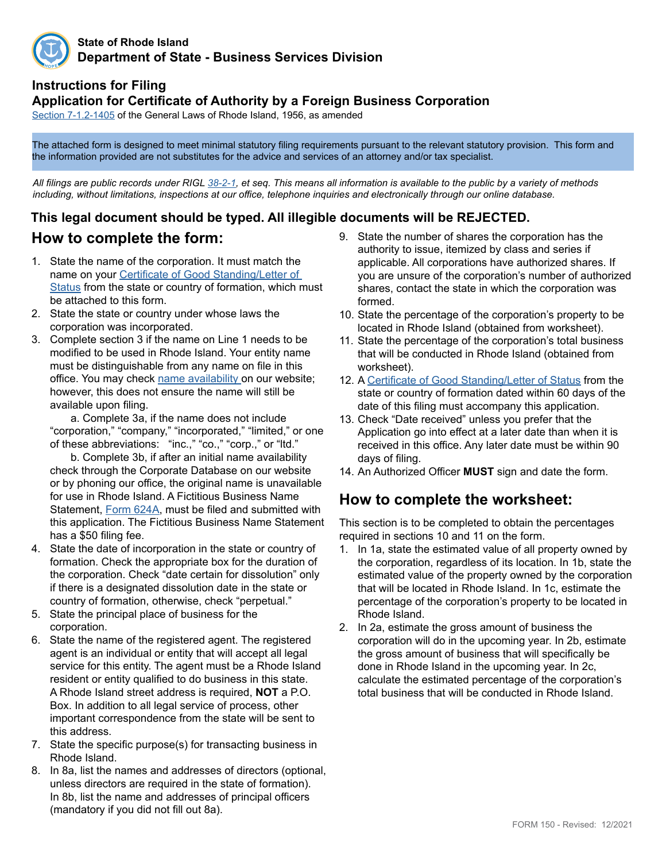

#### **State of Rhode Island Department of State - Business Services Division**

### **Instructions for Filing**

### **Application for Certificate of Authority by a Foreign Business Corporation**

[Section 7-1.2-1405](http://webserver.rilin.state.ri.us/Statutes/TITLE7/7-1.2/7-1.2-1405.HTM) of the General Laws of Rhode Island, 1956, as amended

The attached form is designed to meet minimal statutory filing requirements pursuant to the relevant statutory provision. This form and the information provided are not substitutes for the advice and services of an attorney and/or tax specialist.

*All filings are public records under RIGL [38-2-1](http://webserver.rilin.state.ri.us/Statutes/TITLE38/38-2/38-2-1.HTM), et seq. This means all information is available to the public by a variety of methods including, without limitations, inspections at our office, telephone inquiries and electronically through our online database.*

## **This legal document should be typed. All illegible documents will be REJECTED.**

## **How to complete the form:**

- 1. State the name of the corporation. It must match the name on your [Certificate of Good Standing/Letter of](https://www.sos.ri.gov/divisions/business-services/evidence-interactive-map)  [Status](https://www.sos.ri.gov/divisions/business-services/evidence-interactive-map) from the state or country of formation, which must be attached to this form.
- 2. State the state or country under whose laws the corporation was incorporated.
- 3. Complete section 3 if the name on Line 1 needs to be modified to be used in Rhode Island. Your entity name must be distinguishable from any name on file in this office. You may check [name availability o](https://www.sos.ri.gov/divisions/business-services/name-availability-guidelines)n our website; however, this does not ensure the name will still be available upon filing.

a. Complete 3a, if the name does not include "corporation," "company," "incorporated," "limited," or one of these abbreviations: "inc.," "co.," "corp.," or "ltd."

b. Complete 3b, if after an initial name availability check through the Corporate Database on our website or by phoning our office, the original name is unavailable for use in Rhode Island. A Fictitious Business Name Statement, [Form 624A](http://sos.ri.gov/assets/downloads/documents/624A-fictitious-business-name-statement-Corporation.pdf), must be filed and submitted with this application. The Fictitious Business Name Statement has a \$50 filing fee.

- 4. State the date of incorporation in the state or country of formation. Check the appropriate box for the duration of the corporation. Check "date certain for dissolution" only if there is a designated dissolution date in the state or country of formation, otherwise, check "perpetual."
- 5. State the principal place of business for the corporation.
- 6. State the name of the registered agent. The registered agent is an individual or entity that will accept all legal service for this entity. The agent must be a Rhode Island resident or entity qualified to do business in this state. A Rhode Island street address is required, **NOT** a P.O. Box. In addition to all legal service of process, other important correspondence from the state will be sent to this address.
- 7. State the specific purpose(s) for transacting business in Rhode Island.
- 8. In 8a, list the names and addresses of directors (optional, unless directors are required in the state of formation). In 8b, list the name and addresses of principal officers (mandatory if you did not fill out 8a).
- 9. State the number of shares the corporation has the authority to issue, itemized by class and series if applicable. All corporations have authorized shares. If you are unsure of the corporation's number of authorized shares, contact the state in which the corporation was formed.
- 10. State the percentage of the corporation's property to be located in Rhode Island (obtained from worksheet).
- 11. State the percentage of the corporation's total business that will be conducted in Rhode Island (obtained from worksheet).
- 12. A [Certificate of Good Standing/Letter of Status](https://www.sos.ri.gov/divisions/business-services/evidence-interactive-map) from the state or country of formation dated within 60 days of the date of this filing must accompany this application.
- 13. Check "Date received" unless you prefer that the Application go into effect at a later date than when it is received in this office. Any later date must be within 90 days of filing.
- 14. An Authorized Officer **MUST** sign and date the form.

## **How to complete the worksheet:**

This section is to be completed to obtain the percentages required in sections 10 and 11 on the form.

- 1. In 1a, state the estimated value of all property owned by the corporation, regardless of its location. In 1b, state the estimated value of the property owned by the corporation that will be located in Rhode Island. In 1c, estimate the percentage of the corporation's property to be located in Rhode Island.
- 2. In 2a, estimate the gross amount of business the corporation will do in the upcoming year. In 2b, estimate the gross amount of business that will specifically be done in Rhode Island in the upcoming year. In 2c, calculate the estimated percentage of the corporation's total business that will be conducted in Rhode Island.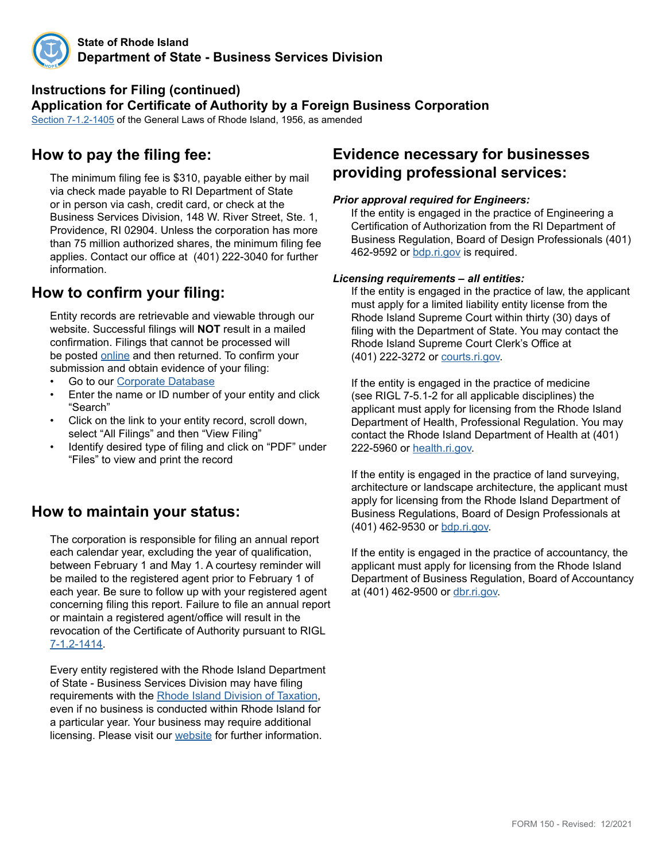

#### **Instructions for Filing (continued) Application for Certificate of Authority by a Foreign Business Corporation**

[Section 7-1.2-1405](http://webserver.rilin.state.ri.us/Statutes/TITLE7/7-1.2/7-1.2-1405.HTM) of the General Laws of Rhode Island, 1956, as amended

## **How to pay the filing fee:**

The minimum filing fee is \$310, payable either by mail via check made payable to RI Department of State or in person via cash, credit card, or check at the Business Services Division, 148 W. River Street, Ste. 1, Providence, RI 02904. Unless the corporation has more than 75 million authorized shares, the minimum filing fee applies. Contact our office at (401) 222-3040 for further information.

# **How to confirm your filing:**

Entity records are retrievable and viewable through our website. Successful filings will **NOT** result in a mailed confirmation. Filings that cannot be processed will be posted [online](http://business.sos.ri.gov/corpreject/corprejectionslist.asp) and then returned. To confirm your submission and obtain evidence of your filing:

- Go to our [Corporate Database](http://business.sos.ri.gov/corpweb/corpsearch/corpsearch.aspx)
- Enter the name or ID number of your entity and click "Search"
- Click on the link to your entity record, scroll down, select "All Filings" and then "View Filing"
- Identify desired type of filing and click on "PDF" under "Files" to view and print the record

## **How to maintain your status:**

The corporation is responsible for filing an annual report each calendar year, excluding the year of qualification, between February 1 and May 1. A courtesy reminder will be mailed to the registered agent prior to February 1 of each year. Be sure to follow up with your registered agent concerning filing this report. Failure to file an annual report or maintain a registered agent/office will result in the revocation of the Certificate of Authority pursuant to RIGL [7-1.2-1414](http://webserver.rilin.state.ri.us/Statutes/TITLE7/7-1.2/7-1.2-1414.HTM).

Every entity registered with the Rhode Island Department of State - Business Services Division may have filing requirements with the [Rhode Island Division of Taxation](http://www.tax.ri.gov/), even if no business is conducted within Rhode Island for a particular year. Your business may require additional licensing. Please visit our [website](https://www.sos.ri.gov/divisions/business-services) for further information.

## **Evidence necessary for businesses providing professional services:**

#### *Prior approval required for Engineers:*

If the entity is engaged in the practice of Engineering a Certification of Authorization from the RI Department of Business Regulation, Board of Design Professionals (401) 462-9592 or [bdp.ri.gov](http://www.bdp.ri.gov/engineers/) is required.

#### *Licensing requirements – all entities:*

If the entity is engaged in the practice of law, the applicant must apply for a limited liability entity license from the Rhode Island Supreme Court within thirty (30) days of filing with the Department of State. You may contact the Rhode Island Supreme Court Clerk's Office at (401) 222-3272 or [courts.ri.gov](https://www.courts.ri.gov/Pages/default.aspx).

If the entity is engaged in the practice of medicine (see RIGL 7-5.1-2 for all applicable disciplines) the applicant must apply for licensing from the Rhode Island Department of Health, Professional Regulation. You may contact the Rhode Island Department of Health at (401) 222-5960 or [health.ri.gov](http://health.ri.gov/licenses/index.php).

If the entity is engaged in the practice of land surveying, architecture or landscape architecture, the applicant must apply for licensing from the Rhode Island Department of Business Regulations, Board of Design Professionals at (401) 462-9530 or [bdp.ri.gov](http://www.bdp.ri.gov/surveyors/).

If the entity is engaged in the practice of accountancy, the applicant must apply for licensing from the Rhode Island Department of Business Regulation, Board of Accountancy at (401) 462-9500 or [dbr.ri.gov](http://www.dbr.ri.gov/divisions/accountancy/).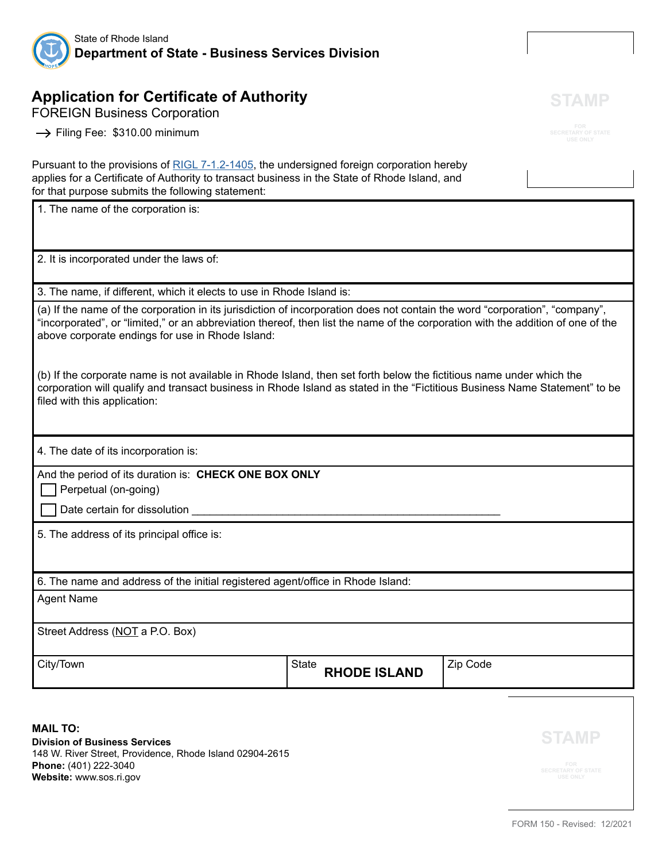

# **Application for Certificate of Authority**

FOREIGN Business Corporation

 $\rightarrow$  Filing Fee: \$310.00 minimum

Pursuant to the provisions of [RIGL 7-1.2-1405](http://webserver.rilin.state.ri.us/Statutes/TITLE7/7-1.2/7-1.2-1405.HTM), the undersigned foreign corporation hereby applies for a Certificate of Authority to transact business in the State of Rhode Island, and for that purpose submits the following statement:

1. The name of the corporation is:

2. It is incorporated under the laws of:

3. The name, if different, which it elects to use in Rhode Island is:

(a) If the name of the corporation in its jurisdiction of incorporation does not contain the word "corporation", "company", "incorporated", or "limited," or an abbreviation thereof, then list the name of the corporation with the addition of one of the above corporate endings for use in Rhode Island:

(b) If the corporate name is not available in Rhode Island, then set forth below the fictitious name under which the corporation will qualify and transact business in Rhode Island as stated in the "Fictitious Business Name Statement" to be filed with this application:

4. The date of its incorporation is:

And the period of its duration is: **CHECK ONE BOX ONLY**

Perpetual (on-going)

 $\Box$  Date certain for dissolution

5. The address of its principal office is:

6. The name and address of the initial registered agent/office in Rhode Island:

Agent Name

Street Address (NOT a P.O. Box)

City/Town | State **City** State **City** State **State City** State **State** State **State** State State State State State State State State State State State State State State State State State State State State State State State

**RHODE ISLAND**

**MAIL TO: Division of Business Services** 148 W. River Street, Providence, Rhode Island 02904-2615 **Phone:** (401) 222-3040 **Website:** www.sos.ri.gov

**STAMP**

**STAMP**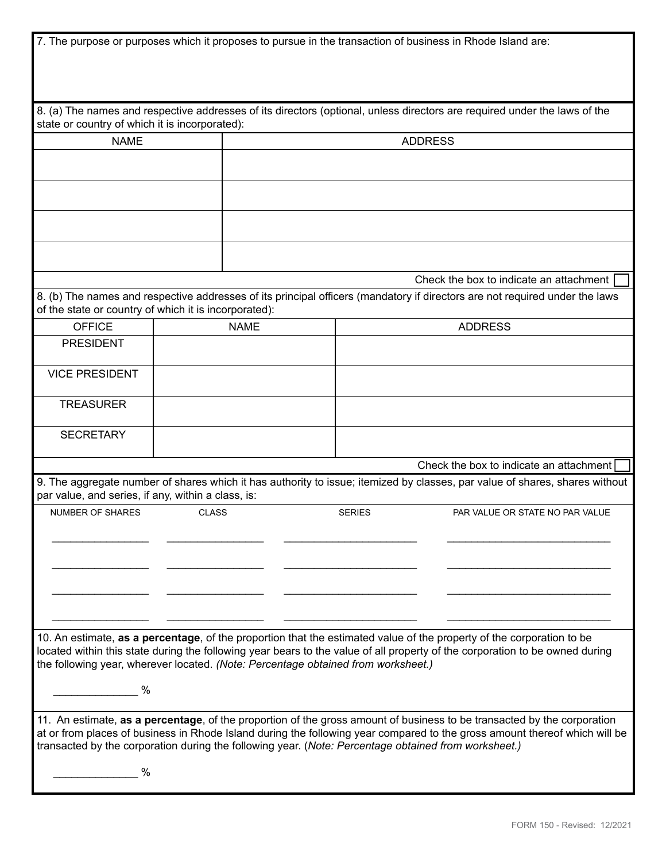|                                                    |                                                                                   |                                         | 7. The purpose or purposes which it proposes to pursue in the transaction of business in Rhode Island are:                                                                                                                                                                                                                                                    |  |  |
|----------------------------------------------------|-----------------------------------------------------------------------------------|-----------------------------------------|---------------------------------------------------------------------------------------------------------------------------------------------------------------------------------------------------------------------------------------------------------------------------------------------------------------------------------------------------------------|--|--|
| state or country of which it is incorporated):     |                                                                                   |                                         | 8. (a) The names and respective addresses of its directors (optional, unless directors are required under the laws of the                                                                                                                                                                                                                                     |  |  |
| <b>NAME</b>                                        |                                                                                   |                                         |                                                                                                                                                                                                                                                                                                                                                               |  |  |
|                                                    |                                                                                   | <b>ADDRESS</b>                          |                                                                                                                                                                                                                                                                                                                                                               |  |  |
|                                                    |                                                                                   |                                         |                                                                                                                                                                                                                                                                                                                                                               |  |  |
|                                                    |                                                                                   |                                         |                                                                                                                                                                                                                                                                                                                                                               |  |  |
|                                                    |                                                                                   |                                         |                                                                                                                                                                                                                                                                                                                                                               |  |  |
|                                                    |                                                                                   | Check the box to indicate an attachment |                                                                                                                                                                                                                                                                                                                                                               |  |  |
|                                                    | of the state or country of which it is incorporated):                             |                                         | 8. (b) The names and respective addresses of its principal officers (mandatory if directors are not required under the laws                                                                                                                                                                                                                                   |  |  |
| <b>OFFICE</b>                                      | <b>NAME</b>                                                                       |                                         | <b>ADDRESS</b>                                                                                                                                                                                                                                                                                                                                                |  |  |
| <b>PRESIDENT</b>                                   |                                                                                   |                                         |                                                                                                                                                                                                                                                                                                                                                               |  |  |
| <b>VICE PRESIDENT</b>                              |                                                                                   |                                         |                                                                                                                                                                                                                                                                                                                                                               |  |  |
| <b>TREASURER</b>                                   |                                                                                   |                                         |                                                                                                                                                                                                                                                                                                                                                               |  |  |
| <b>SECRETARY</b>                                   |                                                                                   |                                         |                                                                                                                                                                                                                                                                                                                                                               |  |  |
|                                                    |                                                                                   |                                         | Check the box to indicate an attachment                                                                                                                                                                                                                                                                                                                       |  |  |
| par value, and series, if any, within a class, is: |                                                                                   |                                         | 9. The aggregate number of shares which it has authority to issue; itemized by classes, par value of shares, shares without                                                                                                                                                                                                                                   |  |  |
| <b>NUMBER OF SHARES</b>                            | <b>CLASS</b>                                                                      | <b>SERIES</b>                           | PAR VALUE OR STATE NO PAR VALUE                                                                                                                                                                                                                                                                                                                               |  |  |
|                                                    |                                                                                   |                                         |                                                                                                                                                                                                                                                                                                                                                               |  |  |
|                                                    |                                                                                   |                                         |                                                                                                                                                                                                                                                                                                                                                               |  |  |
|                                                    |                                                                                   |                                         |                                                                                                                                                                                                                                                                                                                                                               |  |  |
|                                                    | the following year, wherever located. (Note: Percentage obtained from worksheet.) |                                         | 10. An estimate, as a percentage, of the proportion that the estimated value of the property of the corporation to be<br>located within this state during the following year bears to the value of all property of the corporation to be owned during                                                                                                         |  |  |
| $\%$                                               |                                                                                   |                                         |                                                                                                                                                                                                                                                                                                                                                               |  |  |
|                                                    |                                                                                   |                                         | 11. An estimate, as a percentage, of the proportion of the gross amount of business to be transacted by the corporation<br>at or from places of business in Rhode Island during the following year compared to the gross amount thereof which will be<br>transacted by the corporation during the following year. (Note: Percentage obtained from worksheet.) |  |  |
| %                                                  |                                                                                   |                                         |                                                                                                                                                                                                                                                                                                                                                               |  |  |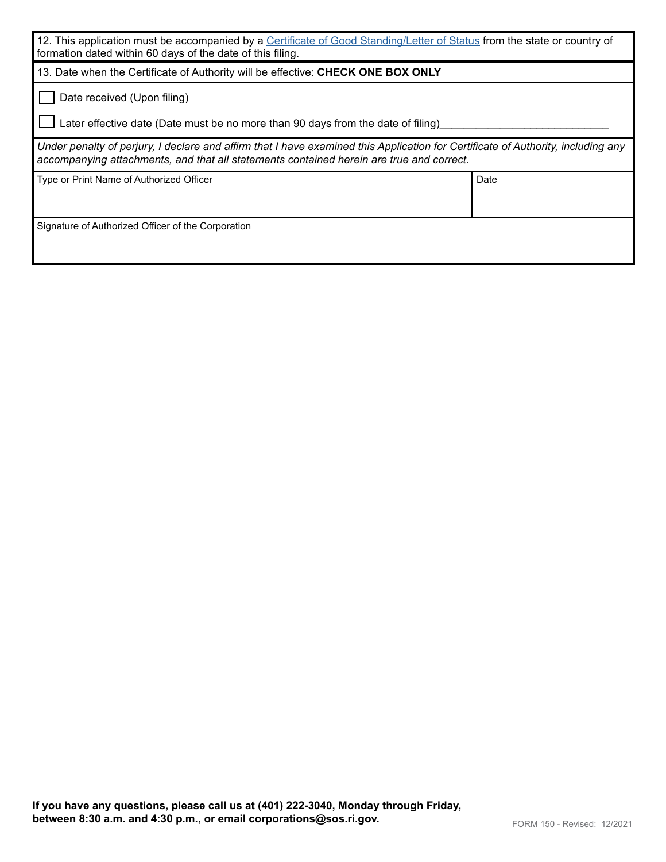| 12. This application must be accompanied by a Certificate of Good Standing/Letter of Status from the state or country of<br>formation dated within 60 days of the date of this filing.                                       |      |  |  |  |
|------------------------------------------------------------------------------------------------------------------------------------------------------------------------------------------------------------------------------|------|--|--|--|
| 13. Date when the Certificate of Authority will be effective: CHECK ONE BOX ONLY                                                                                                                                             |      |  |  |  |
| Date received (Upon filing)                                                                                                                                                                                                  |      |  |  |  |
| Later effective date (Date must be no more than 90 days from the date of filing)                                                                                                                                             |      |  |  |  |
| Under penalty of perjury, I declare and affirm that I have examined this Application for Certificate of Authority, including any<br>accompanying attachments, and that all statements contained herein are true and correct. |      |  |  |  |
| Type or Print Name of Authorized Officer                                                                                                                                                                                     | Date |  |  |  |
|                                                                                                                                                                                                                              |      |  |  |  |
| Signature of Authorized Officer of the Corporation                                                                                                                                                                           |      |  |  |  |
|                                                                                                                                                                                                                              |      |  |  |  |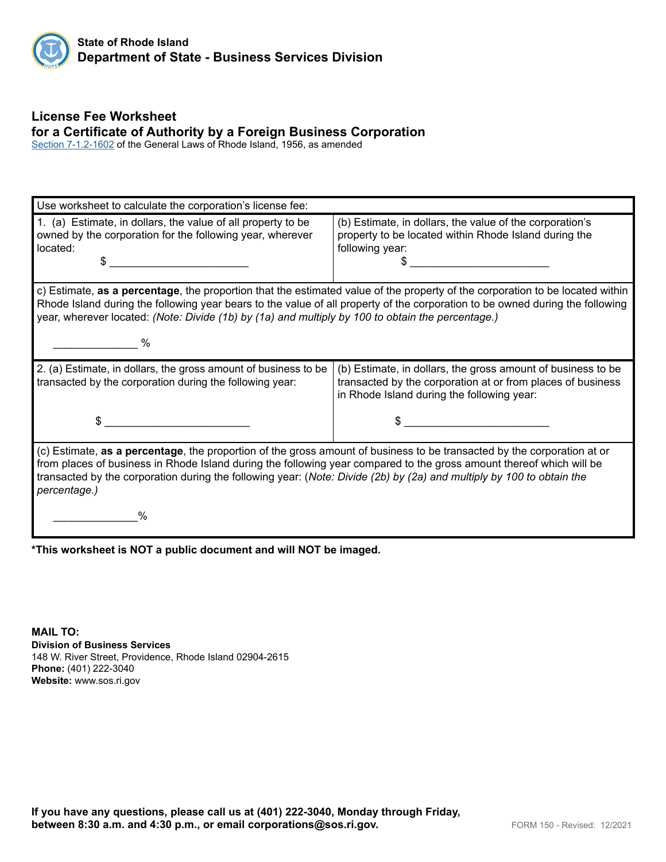

## **License Fee Worksheet for a Certificate of Authority by a Foreign Business Corporation**

[Section 7-1.2-1](http://webserver.rilin.state.ri.us/Statutes/TITLE7/7-1.2/7-1.2-1602.HTM)602 of the General Laws of Rhode Island, 1956, as amended

| Use worksheet to calculate the corporation's license fee:                                                                                                                                                                                                                                                                                                                                |                                                                                                                                                                           |  |  |  |  |
|------------------------------------------------------------------------------------------------------------------------------------------------------------------------------------------------------------------------------------------------------------------------------------------------------------------------------------------------------------------------------------------|---------------------------------------------------------------------------------------------------------------------------------------------------------------------------|--|--|--|--|
| 1. (a) Estimate, in dollars, the value of all property to be<br>owned by the corporation for the following year, wherever<br>located:<br>S                                                                                                                                                                                                                                               | (b) Estimate, in dollars, the value of the corporation's<br>property to be located within Rhode Island during the<br>following year:                                      |  |  |  |  |
| c) Estimate, as a percentage, the proportion that the estimated value of the property of the corporation to be located within<br>Rhode Island during the following year bears to the value of all property of the corporation to be owned during the following<br>year, wherever located: (Note: Divide (1b) by (1a) and multiply by 100 to obtain the percentage.)<br>%                 |                                                                                                                                                                           |  |  |  |  |
| 2. (a) Estimate, in dollars, the gross amount of business to be<br>transacted by the corporation during the following year:                                                                                                                                                                                                                                                              | (b) Estimate, in dollars, the gross amount of business to be<br>transacted by the corporation at or from places of business<br>in Rhode Island during the following year: |  |  |  |  |
| \$                                                                                                                                                                                                                                                                                                                                                                                       |                                                                                                                                                                           |  |  |  |  |
| (c) Estimate, as a percentage, the proportion of the gross amount of business to be transacted by the corporation at or<br>from places of business in Rhode Island during the following year compared to the gross amount thereof which will be<br>transacted by the corporation during the following year: (Note: Divide (2b) by (2a) and multiply by 100 to obtain the<br>percentage.) |                                                                                                                                                                           |  |  |  |  |
|                                                                                                                                                                                                                                                                                                                                                                                          |                                                                                                                                                                           |  |  |  |  |

**\*This worksheet is NOT a public document and will NOT be imaged.**

**MAIL TO: Division of Business Services** 148 W. River Street, Providence, Rhode Island 02904-2615 **Phone:** (401) 222-3040 **Website:** www.sos.ri.gov